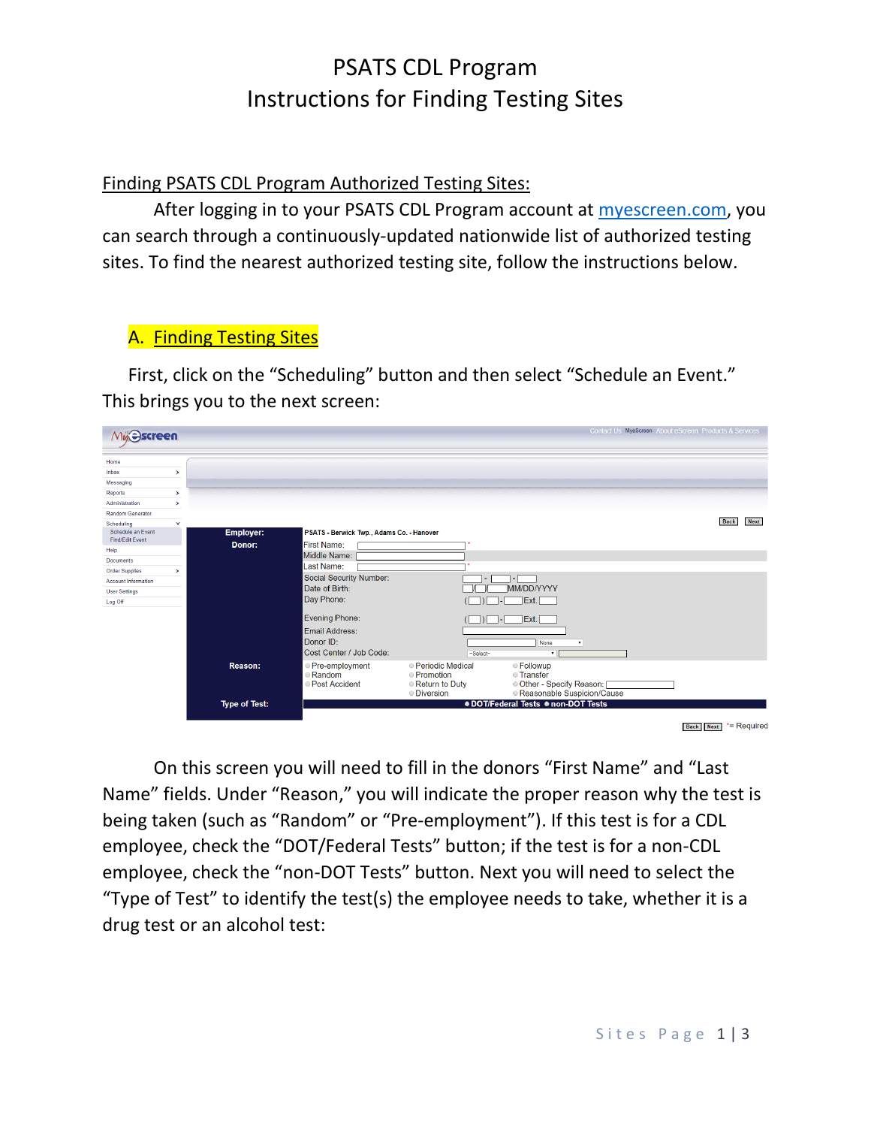# PSATS CDL Program Instructions for Finding Testing Sites

Finding PSATS CDL Program Authorized Testing Sites:

After logging in to your PSATS CDL Program account at [myescreen.com,](https://www.myescreen.com/V3/default.aspx) you can search through a continuously-updated nationwide list of authorized testing sites. To find the nearest authorized testing site, follow the instructions below.

#### A. Finding Testing Sites

First, click on the "Scheduling" button and then select "Schedule an Event." This brings you to the next screen:

| Mu Screen                            |               |                      |                                           |                                      |                                            | Contact Us MyeScreen About eScreen Products & Services |
|--------------------------------------|---------------|----------------------|-------------------------------------------|--------------------------------------|--------------------------------------------|--------------------------------------------------------|
|                                      |               |                      |                                           |                                      |                                            |                                                        |
| Home                                 |               |                      |                                           |                                      |                                            |                                                        |
| Inbox                                | >             |                      |                                           |                                      |                                            |                                                        |
| Messaging                            |               |                      |                                           |                                      |                                            |                                                        |
| <b>Reports</b>                       | $\rightarrow$ |                      |                                           |                                      |                                            |                                                        |
| Administration                       | $\rightarrow$ |                      |                                           |                                      |                                            |                                                        |
| <b>Random Generator</b>              |               |                      |                                           |                                      |                                            |                                                        |
| Scheduling                           | $\checkmark$  |                      |                                           |                                      |                                            | <b>Next</b><br><b>Back</b>                             |
| Schedule an Event<br>Find/Edit Event |               | <b>Employer:</b>     | PSATS - Berwick Twp., Adams Co. - Hanover |                                      |                                            |                                                        |
| Help                                 |               | Donor:               | <b>First Name:</b>                        |                                      |                                            |                                                        |
| <b>Documents</b>                     |               |                      | Middle Name:                              |                                      |                                            |                                                        |
| <b>Order Supplies</b>                | $\rightarrow$ |                      | Last Name:                                |                                      |                                            |                                                        |
| <b>Account Information</b>           |               |                      | Social Security Number:                   |                                      |                                            |                                                        |
| <b>User Settings</b>                 |               |                      | Date of Birth:                            |                                      | MM/DD/YYYY                                 |                                                        |
| Log Off                              |               |                      | Day Phone:                                |                                      | <b>IExt.</b>                               |                                                        |
|                                      |               |                      |                                           |                                      |                                            |                                                        |
|                                      |               |                      | <b>Evening Phone:</b>                     |                                      | Ext.                                       |                                                        |
|                                      |               |                      | <b>Email Address:</b>                     |                                      |                                            |                                                        |
|                                      |               |                      | Donor ID:                                 |                                      | None<br>$\bullet$                          |                                                        |
|                                      |               |                      | Cost Center / Job Code:                   | ~Select~                             | $\overline{\phantom{a}}$                   |                                                        |
|                                      |               |                      |                                           |                                      |                                            |                                                        |
|                                      |               | <b>Reason:</b>       | <b>Pre-employment</b>                     | <b>• Periodic Medical</b>            | ● Followup                                 |                                                        |
|                                      |               |                      | Random<br><b>Post Accident</b>            | <b>• Promotion</b><br>Return to Duty | <b>Transfer</b><br>Other - Specify Reason: |                                                        |
|                                      |               |                      |                                           | <b>ODiversion</b>                    | Reasonable Suspicion/Cause                 |                                                        |
|                                      |               | <b>Type of Test:</b> |                                           |                                      | .DOT/Federal Tests .non-DOT Tests          |                                                        |
|                                      |               |                      |                                           |                                      |                                            |                                                        |
|                                      |               |                      |                                           |                                      |                                            |                                                        |
|                                      |               |                      |                                           |                                      |                                            | *= Required<br><b>Next</b><br><b>Back</b>              |

On this screen you will need to fill in the donors "First Name" and "Last Name" fields. Under "Reason," you will indicate the proper reason why the test is being taken (such as "Random" or "Pre-employment"). If this test is for a CDL employee, check the "DOT/Federal Tests" button; if the test is for a non-CDL employee, check the "non-DOT Tests" button. Next you will need to select the "Type of Test" to identify the test(s) the employee needs to take, whether it is a drug test or an alcohol test: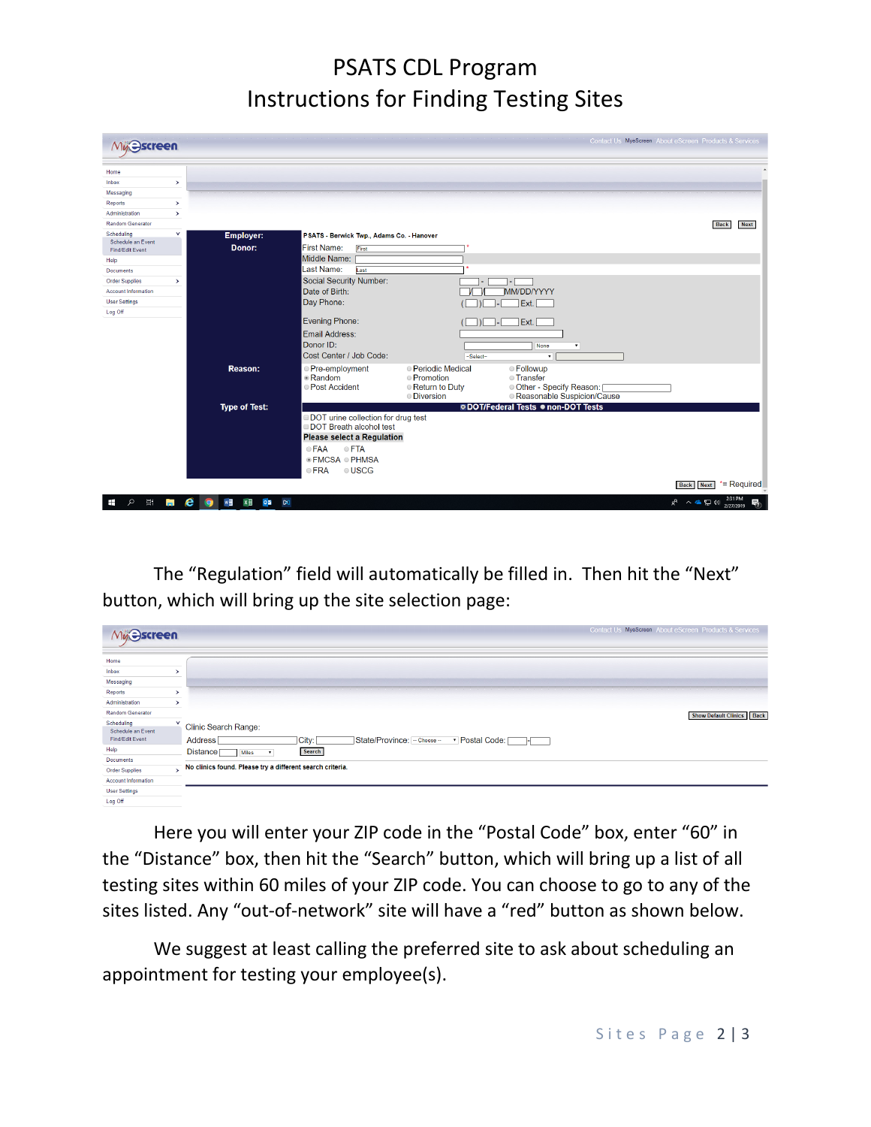# PSATS CDL Program Instructions for Finding Testing Sites

| Muse Screen                          |               |                                                                         |                                                                                               | Contact Us MyeScreen About eScreen Products & Services |  |  |  |
|--------------------------------------|---------------|-------------------------------------------------------------------------|-----------------------------------------------------------------------------------------------|--------------------------------------------------------|--|--|--|
| Home                                 |               |                                                                         |                                                                                               |                                                        |  |  |  |
| Inbox                                | $\,$          |                                                                         |                                                                                               |                                                        |  |  |  |
| Messaging                            |               |                                                                         |                                                                                               |                                                        |  |  |  |
| <b>Reports</b>                       | $\rightarrow$ |                                                                         |                                                                                               |                                                        |  |  |  |
| Administration                       | $\rightarrow$ |                                                                         |                                                                                               |                                                        |  |  |  |
| <b>Random Generator</b>              |               |                                                                         |                                                                                               | <b>Back</b><br><b>Next</b>                             |  |  |  |
| Scheduling                           | v             | Employer:                                                               | PSATS - Berwick Twp., Adams Co. - Hanover                                                     |                                                        |  |  |  |
| Schedule an Event<br>Find/Edit Event |               | Donor:                                                                  | <b>First Name:</b><br>First                                                                   |                                                        |  |  |  |
| Help                                 |               |                                                                         | Middle Name:                                                                                  |                                                        |  |  |  |
| <b>Documents</b>                     |               |                                                                         | Last Name:<br>Last                                                                            |                                                        |  |  |  |
| <b>Order Supplies</b>                | >             |                                                                         | Social Security Number:                                                                       |                                                        |  |  |  |
| <b>Account Information</b>           |               |                                                                         | Date of Birth:<br>MM/DD/YYYY                                                                  |                                                        |  |  |  |
| <b>User Settings</b>                 |               |                                                                         | Day Phone:                                                                                    |                                                        |  |  |  |
| Log Off                              |               |                                                                         | Ext.                                                                                          |                                                        |  |  |  |
|                                      |               |                                                                         | <b>Evening Phone:</b><br>Ext.                                                                 |                                                        |  |  |  |
|                                      |               |                                                                         | <b>Email Address:</b>                                                                         |                                                        |  |  |  |
|                                      |               |                                                                         | Donor ID:                                                                                     |                                                        |  |  |  |
|                                      |               |                                                                         | <b>None</b><br>$\pmb{\mathrm{v}}$<br>Cost Center / Job Code:                                  |                                                        |  |  |  |
|                                      |               |                                                                         | ~Select~<br>$\mathbf{v}$                                                                      |                                                        |  |  |  |
|                                      |               | Reason:                                                                 | · Periodic Medical<br><b>Eollowup</b><br>● Pre-employment                                     |                                                        |  |  |  |
|                                      |               |                                                                         | · Random<br><b>Promotion</b><br><b>Transfer</b><br>Other - Specify Reason:<br>● Post Accident |                                                        |  |  |  |
|                                      |               |                                                                         | Return to Duty<br>Reasonable Suspicion/Cause<br><b>O</b> Diversion                            |                                                        |  |  |  |
|                                      |               | <b>Type of Test:</b>                                                    | <b>ODOT/Federal Tests . non-DOT Tests</b>                                                     |                                                        |  |  |  |
|                                      |               |                                                                         | DOT urine collection for drug test<br>DOT Breath alcohol test                                 |                                                        |  |  |  |
|                                      |               |                                                                         |                                                                                               |                                                        |  |  |  |
|                                      |               |                                                                         | <b>Please select a Regulation</b>                                                             |                                                        |  |  |  |
|                                      |               |                                                                         | <b>OFTA</b><br>● FAA                                                                          |                                                        |  |  |  |
|                                      |               |                                                                         | ● FMCSA ● PHMSA                                                                               |                                                        |  |  |  |
|                                      |               |                                                                         | <b>OUSCG</b><br>$e$ FRA                                                                       |                                                        |  |  |  |
|                                      |               |                                                                         |                                                                                               | *= Required<br><b>Next</b><br><b>Back</b>              |  |  |  |
|                                      |               |                                                                         |                                                                                               |                                                        |  |  |  |
| Ξi<br>$\circ$<br>⊞                   | e<br>a.       | w<br>$\circ$ $\overline{\bullet}$<br>$x \equiv$<br>$\infty$<br><b>Q</b> |                                                                                               | 2:31 PM<br>8 へ 全 目 (1)<br>帋<br>2/27/2019               |  |  |  |

The "Regulation" field will automatically be filled in. Then hit the "Next" button, which will bring up the site selection page:

| Mu <sub>b</sub> ascreen    |   | Contact Us MyeScreen About eScreen Products & Services                         |
|----------------------------|---|--------------------------------------------------------------------------------|
| Home                       |   |                                                                                |
| Inbox                      | ⋋ |                                                                                |
| Messaging                  |   |                                                                                |
| Reports                    | > |                                                                                |
| Administration             | ⋋ |                                                                                |
| <b>Random Generator</b>    |   | <b>Show Default Clinics</b><br><b>Back</b>                                     |
| Scheduling                 |   |                                                                                |
| Schedule an Event          |   | <b>Clinic Search Range:</b>                                                    |
| Find/Edit Event            |   | <b>Address</b><br>State/Province: - Choose -<br>City:<br>▼ Postal Code:<br>┱╾═ |
| Help                       |   | Search<br><b>Distance</b><br><b>Miles</b><br>$\mathbf{v}$                      |
| <b>Documents</b>           |   |                                                                                |
| <b>Order Supplies</b>      | s | No clinics found. Please try a different search criteria.                      |
| <b>Account Information</b> |   |                                                                                |
| <b>User Settings</b>       |   |                                                                                |
| Log Off                    |   |                                                                                |

Here you will enter your ZIP code in the "Postal Code" box, enter "60" in the "Distance" box, then hit the "Search" button, which will bring up a list of all testing sites within 60 miles of your ZIP code. You can choose to go to any of the sites listed. Any "out-of-network" site will have a "red" button as shown below.

We suggest at least calling the preferred site to ask about scheduling an appointment for testing your employee(s).